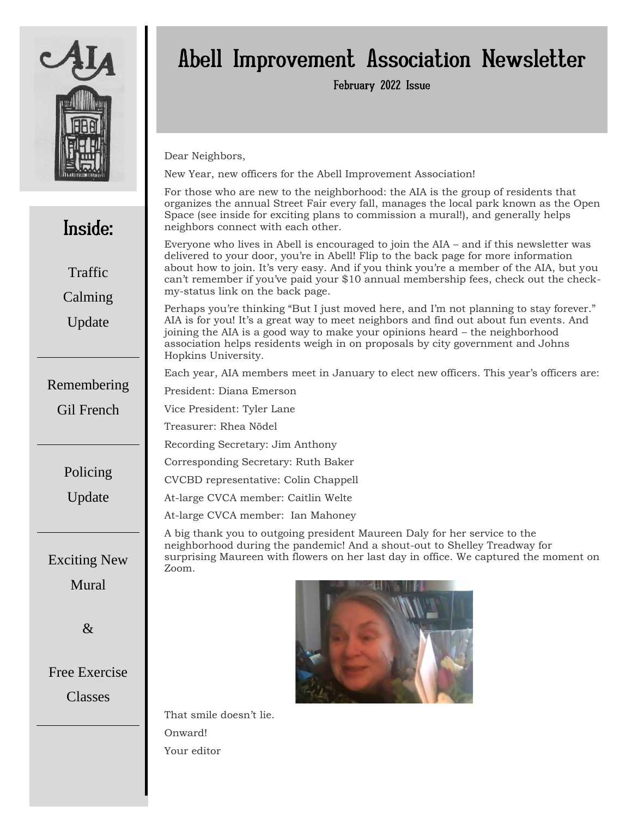

Inside:

Traffic

Calming

Update

Remembering

Gil French

Policing

Update

# Abell Improvement Association Newsletter

February 2022 Issue

Dear Neighbors,

New Year, new officers for the Abell Improvement Association!

February 2019 organizes the annual Street Fair every fall, manages the local park known as the Open For those who are new to the neighborhood: the AIA is the group of residents that Space (see inside for exciting plans to commission a mural!), and generally helps neighbors connect with each other.

Everyone who lives in Abell is encouraged to join the AIA – and if this newsletter was delivered to your door, you're in Abell! Flip to the back page for more information about how to join. It's very easy. And if you think you're a member of the AIA, but you can't remember if you've paid your \$10 annual membership fees, check out the checkmy-status link on the back page.

Perhaps you're thinking "But I just moved here, and I'm not planning to stay forever." AIA is for you! It's a great way to meet neighbors and find out about fun events. And joining the AIA is a good way to make your opinions heard – the neighborhood association helps residents weigh in on proposals by city government and Johns Hopkins University.

Each year, AIA members meet in January to elect new officers. This year's officers are:

President: Diana Emerson

Vice President: Tyler Lane

Treasurer: Rhea Nödel

Recording Secretary: Jim Anthony

Corresponding Secretary: Ruth Baker

CVCBD representative: Colin Chappell

At-large CVCA member: Caitlin Welte

At-large CVCA member: Ian Mahoney

A big thank you to outgoing president Maureen Daly for her service to the neighborhood during the pandemic! And a shout-out to Shelley Treadway for surprising Maureen with flowers on her last day in office. We captured the moment on Zoom.



Exciting New

&

# Free Exercise

Classes



That smile doesn't lie. Onward! Your editor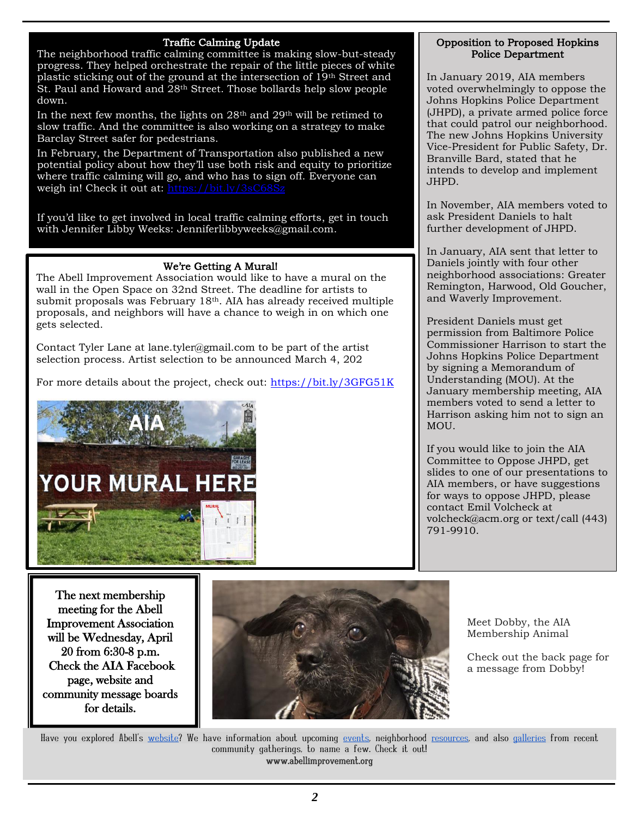## Traffic Calming Update

The neighborhood traffic calming committee is making slow-but-steady progress. They helped orchestrate the repair of the little pieces of white plastic sticking out of the ground at the intersection of 19th Street and St. Paul and Howard and 28<sup>th</sup> Street. Those bollards help slow people down.

In the next few months, the lights on  $28<sup>th</sup>$  and  $29<sup>th</sup>$  will be retimed to slow traffic. And the committee is also working on a strategy to make Barclay Street safer for pedestrians.

In February, the Department of Transportation also published a new potential policy about how they'll use both risk and equity to prioritize where traffic calming will go, and who has to sign off. Everyone can weigh in! Check it out at: https://bit.ly/3sC6

If you'd like to get involved in local traffic calming efforts, get in touch with Jennifer Libby Weeks: Jenniferlibbyweeks@gmail.com.

# We're Getting A Mural!

The Abell Improvement Association would like to have a mural on the wall in the Open Space on 32nd Street. The deadline for artists to submit proposals was February 18th. AIA has already received multiple proposals, and neighbors will have a chance to weigh in on which one gets selected.

Contact Tyler Lane at lane.tyler@gmail.com to be part of the artist selection process. Artist selection to be announced March 4, 202

For more details about the project, check out: [https://bit.ly/3GFG51K](about:blank)



### Opposition to Proposed Hopkins Police Department

In January 2019, AIA members voted overwhelmingly to oppose the Johns Hopkins Police Department (JHPD), a private armed police force that could patrol our neighborhood. The new Johns Hopkins University Vice-President for Public Safety, Dr. Branville Bard, stated that he intends to develop and implement JHPD.

In November, AIA members voted to ask President Daniels to halt further development of JHPD.

In January, AIA sent that letter to Daniels jointly with four other neighborhood associations: Greater Remington, Harwood, Old Goucher, and Waverly Improvement.

President Daniels must get permission from Baltimore Police Commissioner Harrison to start the Johns Hopkins Police Department by signing a Memorandum of Understanding (MOU). At the January membership meeting, AIA members voted to send a letter to Harrison asking him not to sign an MOU.

If you would like to join the AIA Committee to Oppose JHPD, get slides to one of our presentations to AIA members, or have suggestions for ways to oppose JHPD, please contact Emil Volcheck at volcheck@acm.org or text/call (443) 791-9910.

The next membership meeting for the Abell Improvement Association will be Wednesday, April 20 from 6:30-8 p.m. Check the AIA Facebook page, website and community message boards for details.



Meet Dobby, the AIA Membership Animal

Check out the back page for a message from Dobby!

Have you explored Abell's [website?](about:blank) We have information about upcoming [events,](about:blank) neighborhood [resources,](about:blank) and also [galleries](about:blank) from recent community gatherings, to name a few. Check it out! www.abellimprovement.org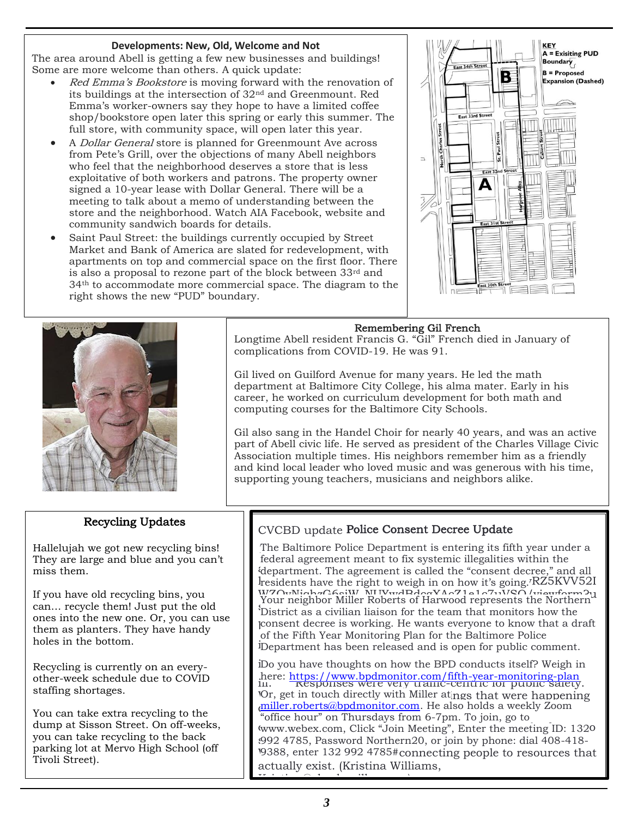### **Developments: New, Old, Welcome and Not**

The area around Abell is getting a few new businesses and buildings! Some are more welcome than others. A quick update:

- Red Emma's Bookstore is moving forward with the renovation of its buildings at the intersection of 32nd and Greenmount. Red Emma's worker-owners say they hope to have a limited coffee shop/bookstore open later this spring or early this summer. The full store, with community space, will open later this year.
- A *Dollar General* store is planned for Greenmount Ave across from Pete's Grill, over the objections of many Abell neighbors who feel that the neighborhood deserves a store that is less exploitative of both workers and patrons. The property owner signed a 10-year lease with Dollar General. There will be a meeting to talk about a memo of understanding between the store and the neighborhood. Watch AIA Facebook, website and community sandwich boards for details.
- Saint Paul Street: the buildings currently occupied by Street Market and Bank of America are slated for redevelopment, with apartments on top and commercial space on the first floor. There is also a proposal to rezone part of the block between 33rd and 34th to accommodate more commercial space. The diagram to the right shows the new "PUD" boundary.



٦



Longtime Abell resident Francis G. "Gil" French died in January of complications from COVID-19. He was 91.

Gil lived on Guilford Avenue for many years. He led the math department at Baltimore City College, his alma mater. Early in his career, he worked on curriculum development for both math and computing courses for the Baltimore City Schools.

Gil also sang in the Handel Choir for nearly 40 years, and was an active part of Abell civic life. He served as president of the Charles Village Civic Association multiple times. His neighbors remember him as a friendly and kind local leader who loved music and was generous with his time, supporting young teachers, musicians and neighbors alike.

# Recycling Updates

Hallelujah we got new recycling bins! They are large and blue and you can't miss them.

If you have old recycling bins, you can… recycle them! Just put the old ones into the new one. Or, you can use them as planters. They have handy holes in the bottom.

Recycling is currently on an everyother-week schedule due to COVID staffing shortages.

You can take extra recycling to the dump at Sisson Street. On off-weeks, you can take recycling to the back parking lot at Mervo High School (off Tivoli Street).

# CVCBD update Police Consent Decree Update

The Baltimore Police Department is entering its fifth year under a  $\ddot{}$  department. The agreement is called the '  $h$ residents have the right to weigh in on how it's going. RZ5KVV52I WZOvNichaC6siW\_NUWwdBdogXAoZ1e1o7uVSQ/viewform?u<br>Your neighbor Miller Roberts of Harwood represents the Northern Four ineighbor miner Roberts of Harwood represents the Northern<br>District as a civilian liaison for the team that monitors how the consent decree is working. He wants everyone to know that a draft iDepartment has been released and is open for public comment. federal agreement meant to fix systemic illegalities within the department. The agreement is called the "consent decree," and all residents have the right to weigh in on how it's going. of the Fifth Year Monitoring Plan for the Baltimore Police

iDo you have thoughts on how the BPD conducts itself? Weigh in iii. Responses were very traffic-centric for public safety. here: [https://www.bpdmonitor.com/fifth-year-monitoring-plan](about:blank) Or, get in touch directly with Miller at ngs that were happening a[miller.roberts@bpdmonitor.com.](about:blank) He also holds a weekly Zoom www.webex.com, Click "Join Meeting", Enter the meeting ID: 1320 992 4785, Password Northern20, or join by phone: dial 408-418-19388, enter 132 992 4785#connecting people to resources that actually exist. (Kristina Williams, Kristina@charlesvillage.org) "office hour" on Thursdays from 6-7pm. To join, go to